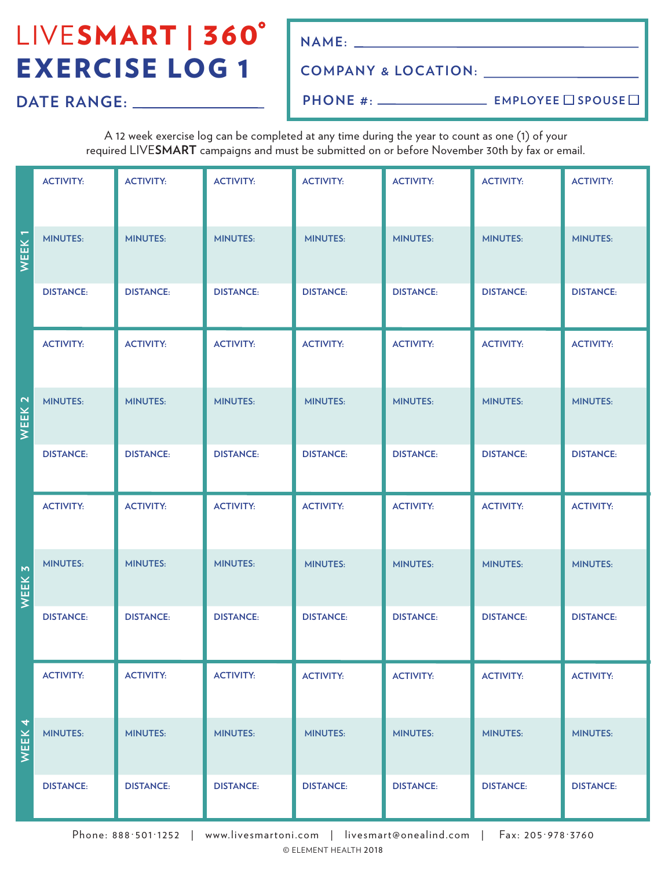# LIVESMART | 360° EXERCISE LOG 1

**NAME:**

### **COMPANY & LOCATION:**

**DATE RANGE:**

**PHONE #:**

**EMPLOYEE** SPOUSE

A 12 week exercise log can be completed at any time during the year to count as one (1) of your required LIVE**SMART** campaigns and must be submitted on or before November 30th by fax or email.

|                               | <b>ACTIVITY:</b> | <b>ACTIVITY:</b> | <b>ACTIVITY:</b> | <b>ACTIVITY:</b> | <b>ACTIVITY:</b> | <b>ACTIVITY:</b> | <b>ACTIVITY:</b> |
|-------------------------------|------------------|------------------|------------------|------------------|------------------|------------------|------------------|
| WEEK <sub>1</sub>             | <b>MINUTES:</b>  | <b>MINUTES:</b>  | <b>MINUTES:</b>  | <b>MINUTES:</b>  | <b>MINUTES:</b>  | <b>MINUTES:</b>  | <b>MINUTES:</b>  |
|                               | <b>DISTANCE:</b> | <b>DISTANCE:</b> | <b>DISTANCE:</b> | <b>DISTANCE:</b> | <b>DISTANCE:</b> | <b>DISTANCE:</b> | <b>DISTANCE:</b> |
|                               | <b>ACTIVITY:</b> | <b>ACTIVITY:</b> | <b>ACTIVITY:</b> | <b>ACTIVITY:</b> | <b>ACTIVITY:</b> | <b>ACTIVITY:</b> | <b>ACTIVITY:</b> |
| WEEK <sub>2</sub>             | <b>MINUTES:</b>  | <b>MINUTES:</b>  | <b>MINUTES:</b>  | <b>MINUTES:</b>  | <b>MINUTES:</b>  | <b>MINUTES:</b>  | <b>MINUTES:</b>  |
|                               | <b>DISTANCE:</b> | <b>DISTANCE:</b> | <b>DISTANCE:</b> | <b>DISTANCE:</b> | <b>DISTANCE:</b> | <b>DISTANCE:</b> | <b>DISTANCE:</b> |
|                               | <b>ACTIVITY:</b> | <b>ACTIVITY:</b> | <b>ACTIVITY:</b> | <b>ACTIVITY:</b> | <b>ACTIVITY:</b> | <b>ACTIVITY:</b> | <b>ACTIVITY:</b> |
| WEEK 3                        | <b>MINUTES:</b>  | <b>MINUTES:</b>  | <b>MINUTES:</b>  | <b>MINUTES:</b>  | <b>MINUTES:</b>  | <b>MINUTES:</b>  | <b>MINUTES:</b>  |
|                               | <b>DISTANCE:</b> | <b>DISTANCE:</b> | <b>DISTANCE:</b> | <b>DISTANCE:</b> | <b>DISTANCE:</b> | <b>DISTANCE:</b> | <b>DISTANCE:</b> |
|                               | <b>ACTIVITY:</b> | <b>ACTIVITY:</b> | <b>ACTIVITY:</b> | <b>ACTIVITY:</b> | <b>ACTIVITY:</b> | <b>ACTIVITY:</b> | <b>ACTIVITY:</b> |
| $\overline{4}$<br><b>WEEK</b> | <b>MINUTES:</b>  | <b>MINUTES:</b>  | <b>MINUTES:</b>  | <b>MINUTES:</b>  | <b>MINUTES:</b>  | <b>MINUTES:</b>  | <b>MINUTES:</b>  |
|                               | <b>DISTANCE:</b> | <b>DISTANCE:</b> | <b>DISTANCE:</b> | <b>DISTANCE:</b> | <b>DISTANCE:</b> | <b>DISTANCE:</b> | <b>DISTANCE:</b> |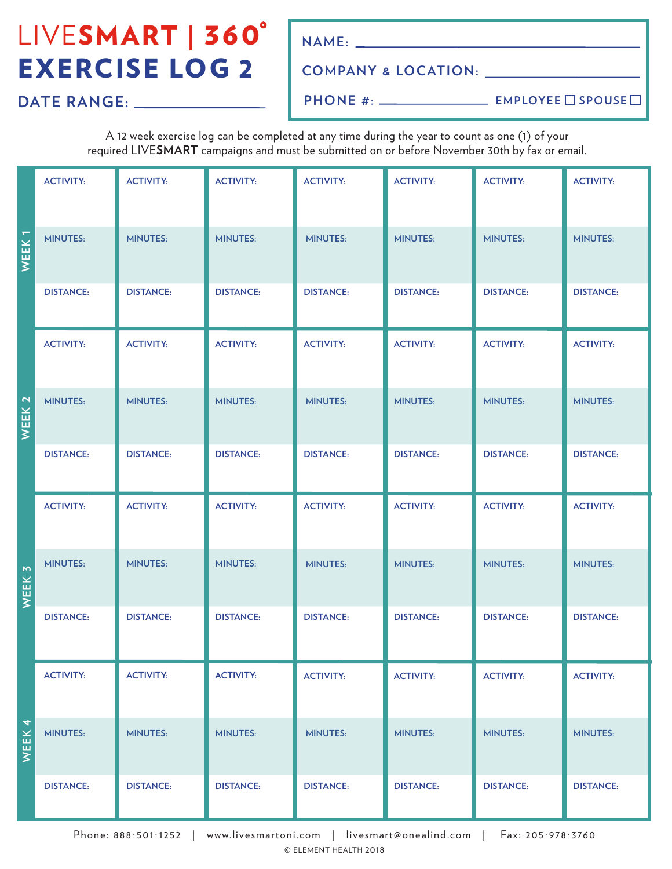# LIVESMART | 360° EXERCISE LOG 2

**NAME:**

### **COMPANY & LOCATION:**

**DATE RANGE:**

**PHONE #:**

**EMPLOYEE** SPOUSE

A 12 week exercise log can be completed at any time during the year to count as one (1) of your required LIVE**SMART** campaigns and must be submitted on or before November 30th by fax or email.

|                                         | <b>ACTIVITY:</b> | <b>ACTIVITY:</b> | <b>ACTIVITY:</b> | <b>ACTIVITY:</b> | <b>ACTIVITY:</b> | <b>ACTIVITY:</b> | <b>ACTIVITY:</b> |
|-----------------------------------------|------------------|------------------|------------------|------------------|------------------|------------------|------------------|
| WEEK <sub>1</sub>                       | <b>MINUTES:</b>  | <b>MINUTES:</b>  | <b>MINUTES:</b>  | <b>MINUTES:</b>  | <b>MINUTES:</b>  | <b>MINUTES:</b>  | <b>MINUTES:</b>  |
|                                         | <b>DISTANCE:</b> | <b>DISTANCE:</b> | <b>DISTANCE:</b> | <b>DISTANCE:</b> | <b>DISTANCE:</b> | <b>DISTANCE:</b> | <b>DISTANCE:</b> |
|                                         | <b>ACTIVITY:</b> | <b>ACTIVITY:</b> | <b>ACTIVITY:</b> | <b>ACTIVITY:</b> | <b>ACTIVITY:</b> | <b>ACTIVITY:</b> | <b>ACTIVITY:</b> |
| WEEK <sub>2</sub>                       | <b>MINUTES:</b>  | <b>MINUTES:</b>  | <b>MINUTES:</b>  | <b>MINUTES:</b>  | <b>MINUTES:</b>  | <b>MINUTES:</b>  | <b>MINUTES:</b>  |
|                                         | <b>DISTANCE:</b> | <b>DISTANCE:</b> | <b>DISTANCE:</b> | <b>DISTANCE:</b> | <b>DISTANCE:</b> | <b>DISTANCE:</b> | <b>DISTANCE:</b> |
|                                         | <b>ACTIVITY:</b> | <b>ACTIVITY:</b> | <b>ACTIVITY:</b> | <b>ACTIVITY:</b> | <b>ACTIVITY:</b> | <b>ACTIVITY:</b> | <b>ACTIVITY:</b> |
| WEEK <sub>3</sub>                       | <b>MINUTES:</b>  | <b>MINUTES:</b>  | <b>MINUTES:</b>  | <b>MINUTES:</b>  | <b>MINUTES:</b>  | <b>MINUTES:</b>  | <b>MINUTES:</b>  |
|                                         | <b>DISTANCE:</b> | <b>DISTANCE:</b> | <b>DISTANCE:</b> | <b>DISTANCE:</b> | <b>DISTANCE:</b> | <b>DISTANCE:</b> | <b>DISTANCE:</b> |
|                                         | <b>ACTIVITY:</b> | <b>ACTIVITY:</b> | <b>ACTIVITY:</b> | <b>ACTIVITY:</b> | <b>ACTIVITY:</b> | <b>ACTIVITY:</b> | <b>ACTIVITY:</b> |
| $\overline{\mathcal{A}}$<br><b>WEEK</b> | <b>MINUTES:</b>  | <b>MINUTES:</b>  | <b>MINUTES:</b>  | <b>MINUTES:</b>  | <b>MINUTES:</b>  | <b>MINUTES:</b>  | <b>MINUTES:</b>  |
|                                         | <b>DISTANCE:</b> | <b>DISTANCE:</b> | <b>DISTANCE:</b> | <b>DISTANCE:</b> | <b>DISTANCE:</b> | <b>DISTANCE:</b> | <b>DISTANCE:</b> |